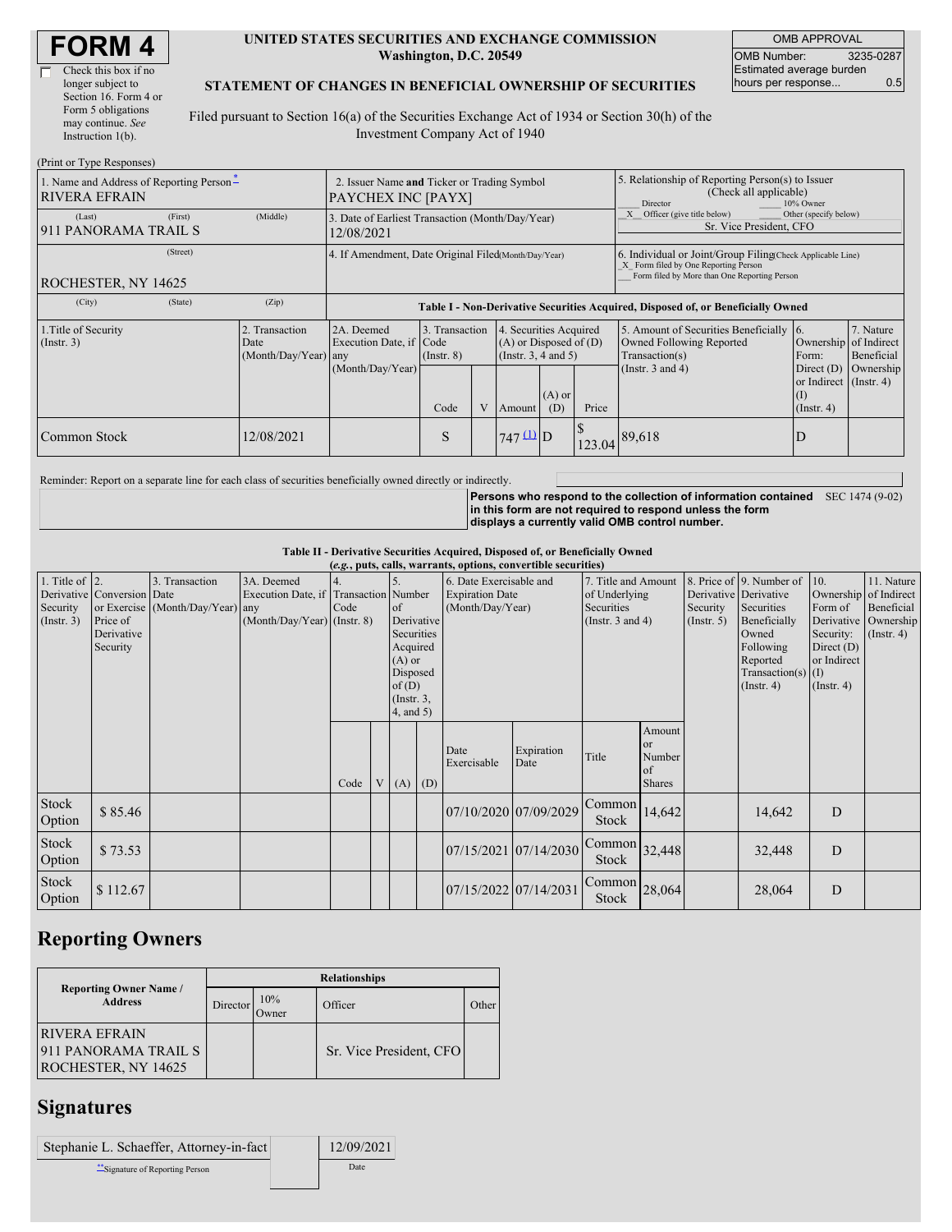| <b>FORM 4</b> |
|---------------|
|---------------|

ĪГ

#### **UNITED STATES SECURITIES AND EXCHANGE COMMISSION Washington, D.C. 20549**

OMB APPROVAL OMB Number: 3235-0287 Estimated average burden hours per response... 0.5

#### **STATEMENT OF CHANGES IN BENEFICIAL OWNERSHIP OF SECURITIES**

Filed pursuant to Section 16(a) of the Securities Exchange Act of 1934 or Section 30(h) of the Investment Company Act of 1940

| (Print or Type Responses)                                        |                                                                   |                                                                                  |      |                                                                              |                       |                 |                                                                                                     |                                                                                                                                                    |                                                                   |           |  |
|------------------------------------------------------------------|-------------------------------------------------------------------|----------------------------------------------------------------------------------|------|------------------------------------------------------------------------------|-----------------------|-----------------|-----------------------------------------------------------------------------------------------------|----------------------------------------------------------------------------------------------------------------------------------------------------|-------------------------------------------------------------------|-----------|--|
| 1. Name and Address of Reporting Person-<br><b>RIVERA EFRAIN</b> | 2. Issuer Name and Ticker or Trading Symbol<br>PAYCHEX INC [PAYX] |                                                                                  |      |                                                                              |                       |                 | 5. Relationship of Reporting Person(s) to Issuer<br>(Check all applicable)<br>Director<br>10% Owner |                                                                                                                                                    |                                                                   |           |  |
| (First)<br>(Last)<br>911 PANORAMA TRAIL S                        | (Middle)                                                          | 3. Date of Earliest Transaction (Month/Day/Year)<br>12/08/2021                   |      |                                                                              |                       |                 |                                                                                                     | Other (specify below)<br>X Officer (give title below)<br>Sr. Vice President, CFO                                                                   |                                                                   |           |  |
| (Street)<br><b>ROCHESTER, NY 14625</b>                           |                                                                   | 4. If Amendment, Date Original Filed(Month/Day/Year)                             |      |                                                                              |                       |                 |                                                                                                     | 6. Individual or Joint/Group Filing Check Applicable Line)<br>X Form filed by One Reporting Person<br>Form filed by More than One Reporting Person |                                                                   |           |  |
| (City)<br>(State)                                                | (Zip)                                                             | Table I - Non-Derivative Securities Acquired, Disposed of, or Beneficially Owned |      |                                                                              |                       |                 |                                                                                                     |                                                                                                                                                    |                                                                   |           |  |
| 1. Title of Security<br>(Insert. 3)                              | 2A. Deemed<br>Execution Date, if Code<br>(Month/Day/Year) any     | 3. Transaction<br>$($ Instr. $8)$                                                |      | 4. Securities Acquired<br>$(A)$ or Disposed of $(D)$<br>(Insert. 3, 4 and 5) |                       |                 | 5. Amount of Securities Beneficially 6.<br>Owned Following Reported<br>Transaction(s)               | 7. Nature<br>Ownership of Indirect<br>Form:                                                                                                        | Beneficial                                                        |           |  |
|                                                                  |                                                                   | (Month/Day/Year)                                                                 | Code | $\mathbf{V}$                                                                 | Amount                | $(A)$ or<br>(D) | Price                                                                                               | (Instr. $3$ and $4$ )                                                                                                                              | Direct $(D)$<br>or Indirect (Instr. 4)<br>(I)<br>$($ Instr. 4 $)$ | Ownership |  |
| <b>Common Stock</b>                                              | 12/08/2021                                                        |                                                                                  | S    |                                                                              | $747 \underline{u}$ D |                 |                                                                                                     | $123.04$ 89,618                                                                                                                                    | ID                                                                |           |  |

Reminder: Report on a separate line for each class of securities beneficially owned directly or indirectly.

**Persons who respond to the collection of information contained** SEC 1474 (9-02) **in this form are not required to respond unless the form displays a currently valid OMB control number.**

**Table II - Derivative Securities Acquired, Disposed of, or Beneficially Owned**

| (e.g., puts, calls, warrants, options, convertible securities) |                                                                  |                                                    |                                                                                      |            |  |                                                                                                           |            |                                                                       |                    |                                                                             |                                                          |                              |                                                                                                                                                               |                                                                                                                                 |                                              |
|----------------------------------------------------------------|------------------------------------------------------------------|----------------------------------------------------|--------------------------------------------------------------------------------------|------------|--|-----------------------------------------------------------------------------------------------------------|------------|-----------------------------------------------------------------------|--------------------|-----------------------------------------------------------------------------|----------------------------------------------------------|------------------------------|---------------------------------------------------------------------------------------------------------------------------------------------------------------|---------------------------------------------------------------------------------------------------------------------------------|----------------------------------------------|
| 1. Title of $ 2$ .<br>Security<br>(Insert. 3)                  | Derivative Conversion Date<br>Price of<br>Derivative<br>Security | 3. Transaction<br>or Exercise (Month/Day/Year) any | 3A. Deemed<br>Execution Date, if Transaction Number<br>$(Month/Day/Year)$ (Instr. 8) | 4.<br>Code |  | 5.<br>of<br>Securities<br>Acquired<br>$(A)$ or<br>Disposed<br>of(D)<br>$($ Instr. $3,$<br>$4$ , and $5$ ) | Derivative | 6. Date Exercisable and<br><b>Expiration Date</b><br>(Month/Day/Year) |                    | 7. Title and Amount<br>of Underlying<br>Securities<br>(Instr. $3$ and $4$ ) |                                                          | Security<br>$($ Instr. 5 $)$ | 8. Price of 9. Number of<br>Derivative Derivative<br>Securities<br>Beneficially<br>Owned<br>Following<br>Reported<br>$Transaction(s)$ (I)<br>$($ Instr. 4 $)$ | 10.<br>Ownership of Indirect<br>Form of<br>Derivative Ownership<br>Security:<br>Direct $(D)$<br>or Indirect<br>$($ Instr. 4 $)$ | 11. Nature<br>Beneficial<br>$($ Instr. 4 $)$ |
|                                                                |                                                                  |                                                    |                                                                                      | Code       |  | V   (A)   (D)                                                                                             |            | Date<br>Exercisable                                                   | Expiration<br>Date | Title                                                                       | Amount<br><sub>or</sub><br>Number<br>of<br><b>Shares</b> |                              |                                                                                                                                                               |                                                                                                                                 |                                              |
| Stock<br>Option                                                | \$85.46                                                          |                                                    |                                                                                      |            |  |                                                                                                           |            | 07/10/2020 07/09/2029                                                 |                    | Common<br><b>Stock</b>                                                      | 14,642                                                   |                              | 14,642                                                                                                                                                        | D                                                                                                                               |                                              |
| Stock<br>Option                                                | \$73.53                                                          |                                                    |                                                                                      |            |  |                                                                                                           |            | 07/15/2021 07/14/2030                                                 |                    | Common<br><b>Stock</b>                                                      | 32,448                                                   |                              | 32,448                                                                                                                                                        | D                                                                                                                               |                                              |
| Stock<br>Option                                                | \$112.67                                                         |                                                    |                                                                                      |            |  |                                                                                                           |            | 07/15/2022 07/14/2031                                                 |                    | $\boxed{\text{Common}}$ 28,064<br>Stock                                     |                                                          |                              | 28,064                                                                                                                                                        | $\mathbf D$                                                                                                                     |                                              |

## **Reporting Owners**

|                                                                     | <b>Relationships</b> |              |                         |       |  |  |  |  |  |
|---------------------------------------------------------------------|----------------------|--------------|-------------------------|-------|--|--|--|--|--|
| <b>Reporting Owner Name /</b><br><b>Address</b>                     | Director             | 10%<br>Jwner | Officer                 | Other |  |  |  |  |  |
| <b>RIVERA EFRAIN</b><br>911 PANORAMA TRAIL S<br>ROCHESTER, NY 14625 |                      |              | Sr. Vice President, CFO |       |  |  |  |  |  |

### **Signatures**

| Stephanie L. Schaeffer, Attorney-in-fact | 12/09/2021 |
|------------------------------------------|------------|
| Signature of Reporting Person            | Date       |